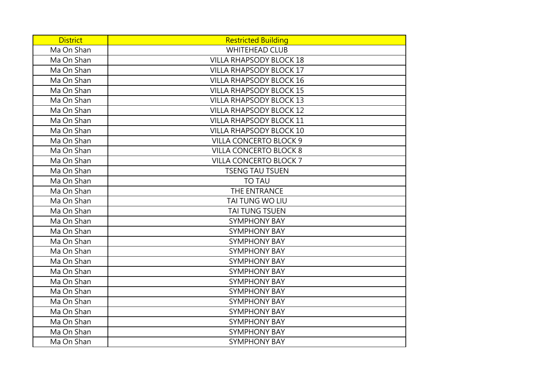| <b>District</b> | <b>Restricted Building</b>     |
|-----------------|--------------------------------|
| Ma On Shan      | <b>WHITEHEAD CLUB</b>          |
| Ma On Shan      | <b>VILLA RHAPSODY BLOCK 18</b> |
| Ma On Shan      | <b>VILLA RHAPSODY BLOCK 17</b> |
| Ma On Shan      | <b>VILLA RHAPSODY BLOCK 16</b> |
| Ma On Shan      | <b>VILLA RHAPSODY BLOCK 15</b> |
| Ma On Shan      | <b>VILLA RHAPSODY BLOCK 13</b> |
| Ma On Shan      | <b>VILLA RHAPSODY BLOCK 12</b> |
| Ma On Shan      | <b>VILLA RHAPSODY BLOCK 11</b> |
| Ma On Shan      | <b>VILLA RHAPSODY BLOCK 10</b> |
| Ma On Shan      | <b>VILLA CONCERTO BLOCK 9</b>  |
| Ma On Shan      | <b>VILLA CONCERTO BLOCK 8</b>  |
| Ma On Shan      | <b>VILLA CONCERTO BLOCK 7</b>  |
| Ma On Shan      | <b>TSENG TAU TSUEN</b>         |
| Ma On Shan      | <b>TO TAU</b>                  |
| Ma On Shan      | THE ENTRANCE                   |
| Ma On Shan      | TAI TUNG WO LIU                |
| Ma On Shan      | <b>TAI TUNG TSUEN</b>          |
| Ma On Shan      | <b>SYMPHONY BAY</b>            |
| Ma On Shan      | <b>SYMPHONY BAY</b>            |
| Ma On Shan      | <b>SYMPHONY BAY</b>            |
| Ma On Shan      | <b>SYMPHONY BAY</b>            |
| Ma On Shan      | <b>SYMPHONY BAY</b>            |
| Ma On Shan      | <b>SYMPHONY BAY</b>            |
| Ma On Shan      | <b>SYMPHONY BAY</b>            |
| Ma On Shan      | <b>SYMPHONY BAY</b>            |
| Ma On Shan      | <b>SYMPHONY BAY</b>            |
| Ma On Shan      | <b>SYMPHONY BAY</b>            |
| Ma On Shan      | <b>SYMPHONY BAY</b>            |
| Ma On Shan      | <b>SYMPHONY BAY</b>            |
| Ma On Shan      | <b>SYMPHONY BAY</b>            |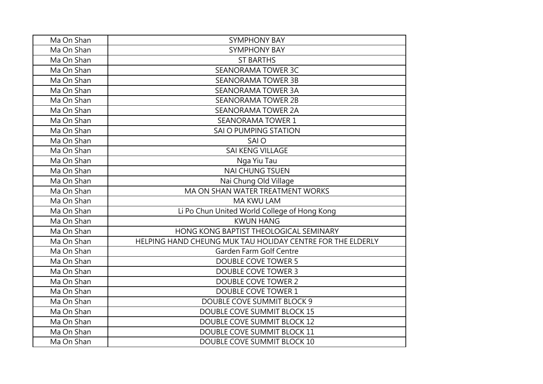| Ma On Shan | <b>SYMPHONY BAY</b>                                        |
|------------|------------------------------------------------------------|
| Ma On Shan | <b>SYMPHONY BAY</b>                                        |
| Ma On Shan | <b>ST BARTHS</b>                                           |
| Ma On Shan | <b>SEANORAMA TOWER 3C</b>                                  |
| Ma On Shan | <b>SEANORAMA TOWER 3B</b>                                  |
| Ma On Shan | <b>SEANORAMA TOWER 3A</b>                                  |
| Ma On Shan | <b>SEANORAMA TOWER 2B</b>                                  |
| Ma On Shan | <b>SEANORAMA TOWER 2A</b>                                  |
| Ma On Shan | <b>SEANORAMA TOWER 1</b>                                   |
| Ma On Shan | SAI O PUMPING STATION                                      |
| Ma On Shan | SAI O                                                      |
| Ma On Shan | <b>SAI KENG VILLAGE</b>                                    |
| Ma On Shan | Nga Yiu Tau                                                |
| Ma On Shan | <b>NAI CHUNG TSUEN</b>                                     |
| Ma On Shan | Nai Chung Old Village                                      |
| Ma On Shan | MA ON SHAN WATER TREATMENT WORKS                           |
| Ma On Shan | MA KWU LAM                                                 |
| Ma On Shan | Li Po Chun United World College of Hong Kong               |
| Ma On Shan | <b>KWUN HANG</b>                                           |
| Ma On Shan | HONG KONG BAPTIST THEOLOGICAL SEMINARY                     |
| Ma On Shan | HELPING HAND CHEUNG MUK TAU HOLIDAY CENTRE FOR THE ELDERLY |
| Ma On Shan | Garden Farm Golf Centre                                    |
| Ma On Shan | <b>DOUBLE COVE TOWER 5</b>                                 |
| Ma On Shan | <b>DOUBLE COVE TOWER 3</b>                                 |
| Ma On Shan | <b>DOUBLE COVE TOWER 2</b>                                 |
| Ma On Shan | <b>DOUBLE COVE TOWER 1</b>                                 |
| Ma On Shan | DOUBLE COVE SUMMIT BLOCK 9                                 |
| Ma On Shan | DOUBLE COVE SUMMIT BLOCK 15                                |
| Ma On Shan | DOUBLE COVE SUMMIT BLOCK 12                                |
| Ma On Shan | DOUBLE COVE SUMMIT BLOCK 11                                |
| Ma On Shan | DOUBLE COVE SUMMIT BLOCK 10                                |